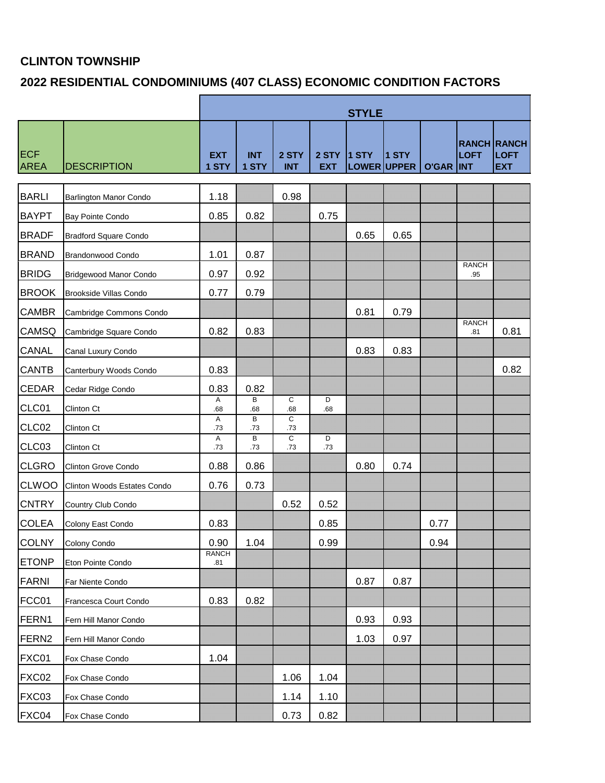## **CLINTON TOWNSHIP**

## **2022 RESIDENTIAL CONDOMINIUMS (407 CLASS) ECONOMIC CONDITION FACTORS**

|                           |                               | <b>STYLE</b>        |                       |                       |                     |                        |       |                  |                     |                                                 |
|---------------------------|-------------------------------|---------------------|-----------------------|-----------------------|---------------------|------------------------|-------|------------------|---------------------|-------------------------------------------------|
| <b>ECF</b><br><b>AREA</b> | <b>DESCRIPTION</b>            | <b>EXT</b><br>1 STY | <b>INT</b><br>1 STY   | 2 STY<br><b>INT</b>   | 2 STY<br><b>EXT</b> | $1$ STY<br>LOWER UPPER | 1 STY | <b>O'GAR INT</b> | <b>LOFT</b>         | <b>RANCH RANCH</b><br><b>LOFT</b><br><b>EXT</b> |
| <b>BARLI</b>              | <b>Barlington Manor Condo</b> | 1.18                |                       | 0.98                  |                     |                        |       |                  |                     |                                                 |
| <b>BAYPT</b>              | Bay Pointe Condo              | 0.85                | 0.82                  |                       | 0.75                |                        |       |                  |                     |                                                 |
| <b>BRADF</b>              | <b>Bradford Square Condo</b>  |                     |                       |                       |                     | 0.65                   | 0.65  |                  |                     |                                                 |
| <b>BRAND</b>              | Brandonwood Condo             | 1.01                | 0.87                  |                       |                     |                        |       |                  |                     |                                                 |
| <b>BRIDG</b>              | Bridgewood Manor Condo        | 0.97                | 0.92                  |                       |                     |                        |       |                  | <b>RANCH</b><br>.95 |                                                 |
| <b>BROOK</b>              | Brookside Villas Condo        | 0.77                | 0.79                  |                       |                     |                        |       |                  |                     |                                                 |
| <b>CAMBR</b>              | Cambridge Commons Condo       |                     |                       |                       |                     | 0.81                   | 0.79  |                  |                     |                                                 |
| CAMSQ                     | Cambridge Square Condo        | 0.82                | 0.83                  |                       |                     |                        |       |                  | <b>RANCH</b><br>.81 | 0.81                                            |
| CANAL                     | Canal Luxury Condo            |                     |                       |                       |                     | 0.83                   | 0.83  |                  |                     |                                                 |
| <b>CANTB</b>              | Canterbury Woods Condo        | 0.83                |                       |                       |                     |                        |       |                  |                     | 0.82                                            |
| <b>CEDAR</b>              | Cedar Ridge Condo             | 0.83                | 0.82                  |                       |                     |                        |       |                  |                     |                                                 |
| CLC01                     | Clinton Ct                    | Α<br>.68            | В<br>.68              | C<br>.68              | D<br>.68            |                        |       |                  |                     |                                                 |
| CLC02                     | Clinton Ct                    | Α<br>.73            | В<br>.73              | C<br>.73              |                     |                        |       |                  |                     |                                                 |
| CLC03                     | Clinton Ct                    | Α<br>.73            | $\overline{B}$<br>.73 | $\overline{c}$<br>.73 | D<br>.73            |                        |       |                  |                     |                                                 |
| <b>CLGRO</b>              | Clinton Grove Condo           | 0.88                | 0.86                  |                       |                     | 0.80                   | 0.74  |                  |                     |                                                 |
| <b>CLWOO</b>              | Clinton Woods Estates Condo   | 0.76                | 0.73                  |                       |                     |                        |       |                  |                     |                                                 |
| <b>CNTRY</b>              | Country Club Condo            |                     |                       | 0.52                  | 0.52                |                        |       |                  |                     |                                                 |
| <b>COLEA</b>              | Colony East Condo             | 0.83                |                       |                       | 0.85                |                        |       | 0.77             |                     |                                                 |
| <b>COLNY</b>              | Colony Condo                  | 0.90                | 1.04                  |                       | 0.99                |                        |       | 0.94             |                     |                                                 |
| <b>ETONP</b>              | Eton Pointe Condo             | <b>RANCH</b><br>.81 |                       |                       |                     |                        |       |                  |                     |                                                 |
| FARNI                     | Far Niente Condo              |                     |                       |                       |                     | 0.87                   | 0.87  |                  |                     |                                                 |
| FCC01                     | Francesca Court Condo         | 0.83                | 0.82                  |                       |                     |                        |       |                  |                     |                                                 |
| FERN1                     | Fern Hill Manor Condo         |                     |                       |                       |                     | 0.93                   | 0.93  |                  |                     |                                                 |
| FERN <sub>2</sub>         | Fern Hill Manor Condo         |                     |                       |                       |                     | 1.03                   | 0.97  |                  |                     |                                                 |
| FXC01                     | Fox Chase Condo               | 1.04                |                       |                       |                     |                        |       |                  |                     |                                                 |
| FXC02                     | Fox Chase Condo               |                     |                       | 1.06                  | 1.04                |                        |       |                  |                     |                                                 |
| FXC03                     | Fox Chase Condo               |                     |                       | 1.14                  | 1.10                |                        |       |                  |                     |                                                 |
| FXC04                     | Fox Chase Condo               |                     |                       | 0.73                  | 0.82                |                        |       |                  |                     |                                                 |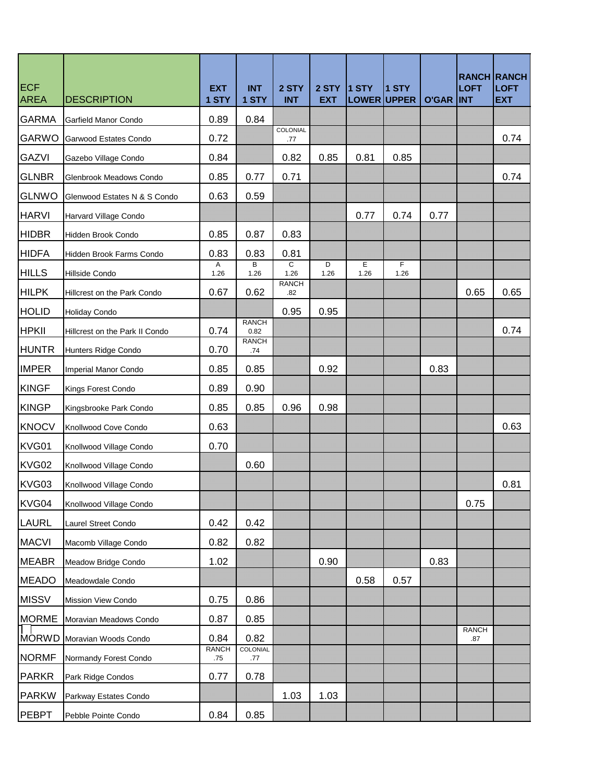| <b>ECF</b><br><b>AREA</b> | <b>DESCRIPTION</b>             | <b>EXT</b><br>1 STY | <b>INT</b><br>1 STY  | 2 STY<br><b>INT</b> | 2 STY<br><b>EXT</b> | $1$ STY<br>LOWER UPPER | 1 STY     | <b>O'GAR INT</b> | <b>LOFT</b>         | <b>RANCH RANCH</b><br><b>LOFT</b><br><b>EXT</b> |
|---------------------------|--------------------------------|---------------------|----------------------|---------------------|---------------------|------------------------|-----------|------------------|---------------------|-------------------------------------------------|
| <b>GARMA</b>              | Garfield Manor Condo           | 0.89                | 0.84                 |                     |                     |                        |           |                  |                     |                                                 |
| <b>GARWO</b>              | Garwood Estates Condo          | 0.72                |                      | COLONIAL<br>.77     |                     |                        |           |                  |                     | 0.74                                            |
| <b>GAZVI</b>              | Gazebo Village Condo           | 0.84                |                      | 0.82                | 0.85                | 0.81                   | 0.85      |                  |                     |                                                 |
| <b>GLNBR</b>              | Glenbrook Meadows Condo        | 0.85                | 0.77                 | 0.71                |                     |                        |           |                  |                     | 0.74                                            |
| <b>GLNWO</b>              | Glenwood Estates N & S Condo   | 0.63                | 0.59                 |                     |                     |                        |           |                  |                     |                                                 |
| <b>HARVI</b>              | Harvard Village Condo          |                     |                      |                     |                     | 0.77                   | 0.74      | 0.77             |                     |                                                 |
| <b>HIDBR</b>              | Hidden Brook Condo             | 0.85                | 0.87                 | 0.83                |                     |                        |           |                  |                     |                                                 |
| <b>HIDFA</b>              | Hidden Brook Farms Condo       | 0.83                | 0.83                 | 0.81                |                     |                        |           |                  |                     |                                                 |
| <b>HILLS</b>              | Hillside Condo                 | Α<br>1.26           | В<br>1.26            | C<br>1.26           | D<br>1.26           | Е<br>1.26              | F<br>1.26 |                  |                     |                                                 |
| <b>HILPK</b>              | Hillcrest on the Park Condo    | 0.67                | 0.62                 | <b>RANCH</b><br>.82 |                     |                        |           |                  | 0.65                | 0.65                                            |
| <b>HOLID</b>              | <b>Holiday Condo</b>           |                     |                      | 0.95                | 0.95                |                        |           |                  |                     |                                                 |
| <b>HPKII</b>              | Hillcrest on the Park II Condo | 0.74                | <b>RANCH</b><br>0.82 |                     |                     |                        |           |                  |                     | 0.74                                            |
| <b>HUNTR</b>              | Hunters Ridge Condo            | 0.70                | <b>RANCH</b><br>.74  |                     |                     |                        |           |                  |                     |                                                 |
| <b>IMPER</b>              | Imperial Manor Condo           | 0.85                | 0.85                 |                     | 0.92                |                        |           | 0.83             |                     |                                                 |
| <b>KINGF</b>              | Kings Forest Condo             | 0.89                | 0.90                 |                     |                     |                        |           |                  |                     |                                                 |
| <b>KINGP</b>              | Kingsbrooke Park Condo         | 0.85                | 0.85                 | 0.96                | 0.98                |                        |           |                  |                     |                                                 |
| <b>KNOCV</b>              | Knollwood Cove Condo           | 0.63                |                      |                     |                     |                        |           |                  |                     | 0.63                                            |
| KVG01                     | Knollwood Village Condo        | 0.70                |                      |                     |                     |                        |           |                  |                     |                                                 |
| KVG02                     | Knollwood Village Condo        |                     | 0.60                 |                     |                     |                        |           |                  |                     |                                                 |
| KVG03                     | Knollwood Village Condo        |                     |                      |                     |                     |                        |           |                  |                     | 0.81                                            |
| KVG04                     | Knollwood Village Condo        |                     |                      |                     |                     |                        |           |                  | 0.75                |                                                 |
| <b>LAURL</b>              | Laurel Street Condo            | 0.42                | 0.42                 |                     |                     |                        |           |                  |                     |                                                 |
| <b>MACVI</b>              | Macomb Village Condo           | 0.82                | 0.82                 |                     |                     |                        |           |                  |                     |                                                 |
| <b>MEABR</b>              | Meadow Bridge Condo            | 1.02                |                      |                     | 0.90                |                        |           | 0.83             |                     |                                                 |
| <b>MEADO</b>              | Meadowdale Condo               |                     |                      |                     |                     | 0.58                   | 0.57      |                  |                     |                                                 |
| <b>MISSV</b>              | Mission View Condo             | 0.75                | 0.86                 |                     |                     |                        |           |                  |                     |                                                 |
| <b>MORME</b>              | Moravian Meadows Condo         | 0.87                | 0.85                 |                     |                     |                        |           |                  |                     |                                                 |
| ∏<br>MORWD                | Moravian Woods Condo           | 0.84                | 0.82                 |                     |                     |                        |           |                  | <b>RANCH</b><br>.87 |                                                 |
| <b>NORMF</b>              | Normandy Forest Condo          | <b>RANCH</b><br>.75 | COLONIAL<br>.77      |                     |                     |                        |           |                  |                     |                                                 |
| <b>PARKR</b>              | Park Ridge Condos              | 0.77                | 0.78                 |                     |                     |                        |           |                  |                     |                                                 |
| <b>PARKW</b>              | Parkway Estates Condo          |                     |                      | 1.03                | 1.03                |                        |           |                  |                     |                                                 |
| PEBPT                     | Pebble Pointe Condo            | 0.84                | 0.85                 |                     |                     |                        |           |                  |                     |                                                 |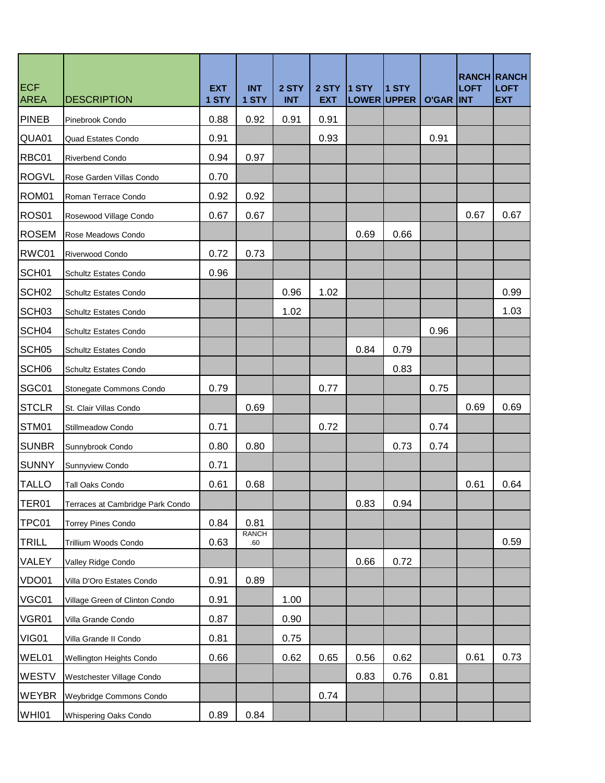| <b>ECF</b><br><b>AREA</b> | <b>DESCRIPTION</b>               | <b>EXT</b><br>1 STY | <b>INT</b><br>1 STY | 2 STY<br><b>INT</b> | 2 STY<br><b>EXT</b> | $1$ STY<br>LOWER UPPER | 1 STY | <b>O'GAR INT</b> | <b>LOFT</b> | <b>RANCH RANCH</b><br><b>LOFT</b><br><b>EXT</b> |
|---------------------------|----------------------------------|---------------------|---------------------|---------------------|---------------------|------------------------|-------|------------------|-------------|-------------------------------------------------|
| <b>PINEB</b>              | Pinebrook Condo                  | 0.88                | 0.92                | 0.91                | 0.91                |                        |       |                  |             |                                                 |
| QUA01                     | Quad Estates Condo               | 0.91                |                     |                     | 0.93                |                        |       | 0.91             |             |                                                 |
| RBC01                     | Riverbend Condo                  | 0.94                | 0.97                |                     |                     |                        |       |                  |             |                                                 |
| <b>ROGVL</b>              | Rose Garden Villas Condo         | 0.70                |                     |                     |                     |                        |       |                  |             |                                                 |
| ROM01                     | Roman Terrace Condo              | 0.92                | 0.92                |                     |                     |                        |       |                  |             |                                                 |
| ROS01                     | Rosewood Village Condo           | 0.67                | 0.67                |                     |                     |                        |       |                  | 0.67        | 0.67                                            |
| <b>ROSEM</b>              | Rose Meadows Condo               |                     |                     |                     |                     | 0.69                   | 0.66  |                  |             |                                                 |
| RWC01                     | Riverwood Condo                  | 0.72                | 0.73                |                     |                     |                        |       |                  |             |                                                 |
| SCH <sub>01</sub>         | <b>Schultz Estates Condo</b>     | 0.96                |                     |                     |                     |                        |       |                  |             |                                                 |
| SCH <sub>02</sub>         | <b>Schultz Estates Condo</b>     |                     |                     | 0.96                | 1.02                |                        |       |                  |             | 0.99                                            |
| SCH <sub>03</sub>         | <b>Schultz Estates Condo</b>     |                     |                     | 1.02                |                     |                        |       |                  |             | 1.03                                            |
| SCH04                     | Schultz Estates Condo            |                     |                     |                     |                     |                        |       | 0.96             |             |                                                 |
| SCH <sub>05</sub>         | Schultz Estates Condo            |                     |                     |                     |                     | 0.84                   | 0.79  |                  |             |                                                 |
| SCH <sub>06</sub>         | <b>Schultz Estates Condo</b>     |                     |                     |                     |                     |                        | 0.83  |                  |             |                                                 |
| SGC01                     | Stonegate Commons Condo          | 0.79                |                     |                     | 0.77                |                        |       | 0.75             |             |                                                 |
| <b>STCLR</b>              | St. Clair Villas Condo           |                     | 0.69                |                     |                     |                        |       |                  | 0.69        | 0.69                                            |
| STM01                     | Stillmeadow Condo                | 0.71                |                     |                     | 0.72                |                        |       | 0.74             |             |                                                 |
| <b>SUNBR</b>              | Sunnybrook Condo                 | 0.80                | 0.80                |                     |                     |                        | 0.73  | 0.74             |             |                                                 |
| <b>SUNNY</b>              | Sunnyview Condo                  | 0.71                |                     |                     |                     |                        |       |                  |             |                                                 |
| <b>TALLO</b>              | Tall Oaks Condo                  | 0.61                | 0.68                |                     |                     |                        |       |                  | 0.61        | 0.64                                            |
| TER01                     | Terraces at Cambridge Park Condo |                     |                     |                     |                     | 0.83                   | 0.94  |                  |             |                                                 |
| TPC01                     | <b>Torrey Pines Condo</b>        | 0.84                | 0.81                |                     |                     |                        |       |                  |             |                                                 |
| <b>TRILL</b>              | Trillium Woods Condo             | 0.63                | <b>RANCH</b><br>.60 |                     |                     |                        |       |                  |             | 0.59                                            |
| VALEY                     | Valley Ridge Condo               |                     |                     |                     |                     | 0.66                   | 0.72  |                  |             |                                                 |
| VDO01                     | Villa D'Oro Estates Condo        | 0.91                | 0.89                |                     |                     |                        |       |                  |             |                                                 |
| VGC01                     | Village Green of Clinton Condo   | 0.91                |                     | 1.00                |                     |                        |       |                  |             |                                                 |
| VGR01                     | Villa Grande Condo               | 0.87                |                     | 0.90                |                     |                        |       |                  |             |                                                 |
| VIG01                     | Villa Grande II Condo            | 0.81                |                     | 0.75                |                     |                        |       |                  |             |                                                 |
| WEL01                     | Wellington Heights Condo         | 0.66                |                     | 0.62                | 0.65                | 0.56                   | 0.62  |                  | 0.61        | 0.73                                            |
| WESTV                     | Westchester Village Condo        |                     |                     |                     |                     | 0.83                   | 0.76  | 0.81             |             |                                                 |
| <b>WEYBR</b>              | Weybridge Commons Condo          |                     |                     |                     | 0.74                |                        |       |                  |             |                                                 |
| WHI01                     | Whispering Oaks Condo            | 0.89                | 0.84                |                     |                     |                        |       |                  |             |                                                 |